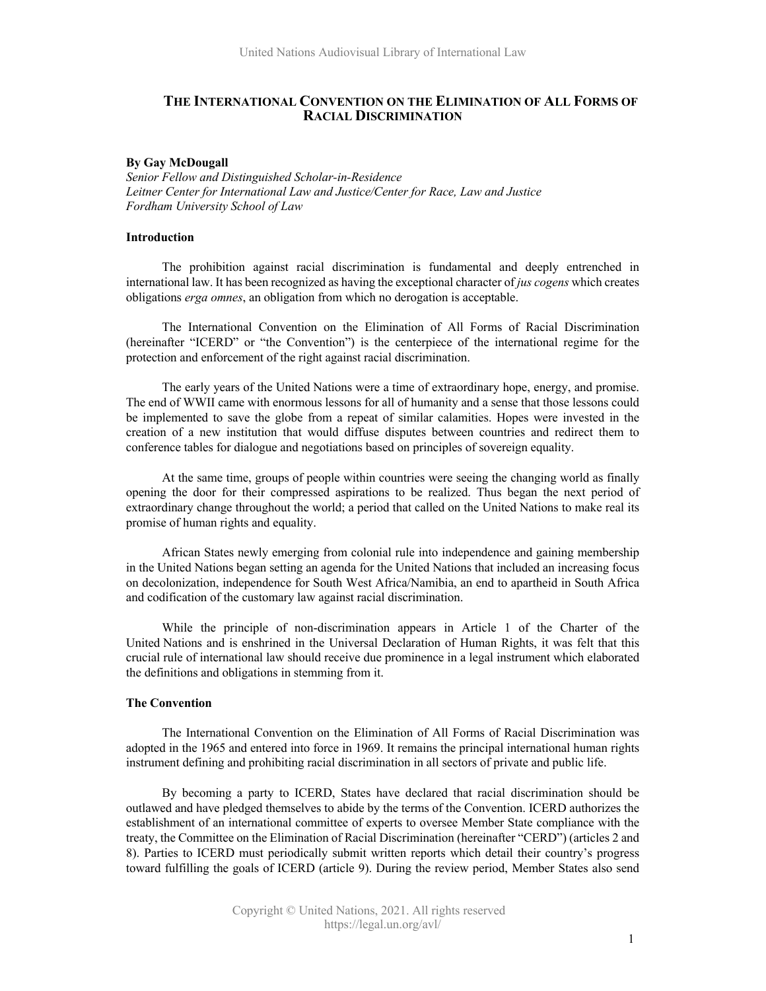# **THE INTERNATIONAL CONVENTION ON THE ELIMINATION OF ALL FORMS OF RACIAL DISCRIMINATION**

#### **By Gay McDougall**

*Senior Fellow and Distinguished Scholar-in-Residence Leitner Center for International Law and Justice/Center for Race, Law and Justice Fordham University School of Law*

## **Introduction**

The prohibition against racial discrimination is fundamental and deeply entrenched in international law. It has been recognized as having the exceptional character of *jus cogens* which creates obligations *erga omnes*, an obligation from which no derogation is acceptable.

The International Convention on the Elimination of All Forms of Racial Discrimination (hereinafter "ICERD" or "the Convention") is the centerpiece of the international regime for the protection and enforcement of the right against racial discrimination.

The early years of the United Nations were a time of extraordinary hope, energy, and promise. The end of WWII came with enormous lessons for all of humanity and a sense that those lessons could be implemented to save the globe from a repeat of similar calamities. Hopes were invested in the creation of a new institution that would diffuse disputes between countries and redirect them to conference tables for dialogue and negotiations based on principles of sovereign equality.

At the same time, groups of people within countries were seeing the changing world as finally opening the door for their compressed aspirations to be realized. Thus began the next period of extraordinary change throughout the world; a period that called on the United Nations to make real its promise of human rights and equality.

African States newly emerging from colonial rule into independence and gaining membership in the United Nations began setting an agenda for the United Nations that included an increasing focus on decolonization, independence for South West Africa/Namibia, an end to apartheid in South Africa and codification of the customary law against racial discrimination.

While the principle of non-discrimination appears in Article 1 of the Charter of the United Nations and is enshrined in the Universal Declaration of Human Rights, it was felt that this crucial rule of international law should receive due prominence in a legal instrument which elaborated the definitions and obligations in stemming from it.

# **The Convention**

The International Convention on the Elimination of All Forms of Racial Discrimination was adopted in the 1965 and entered into force in 1969. It remains the principal international human rights instrument defining and prohibiting racial discrimination in all sectors of private and public life.

By becoming a party to ICERD, States have declared that racial discrimination should be outlawed and have pledged themselves to abide by the terms of the Convention. ICERD authorizes the establishment of an international committee of experts to oversee Member State compliance with the treaty, the Committee on the Elimination of Racial Discrimination (hereinafter "CERD") (articles 2 and 8). Parties to ICERD must periodically submit written reports which detail their country's progress toward fulfilling the goals of ICERD (article 9). During the review period, Member States also send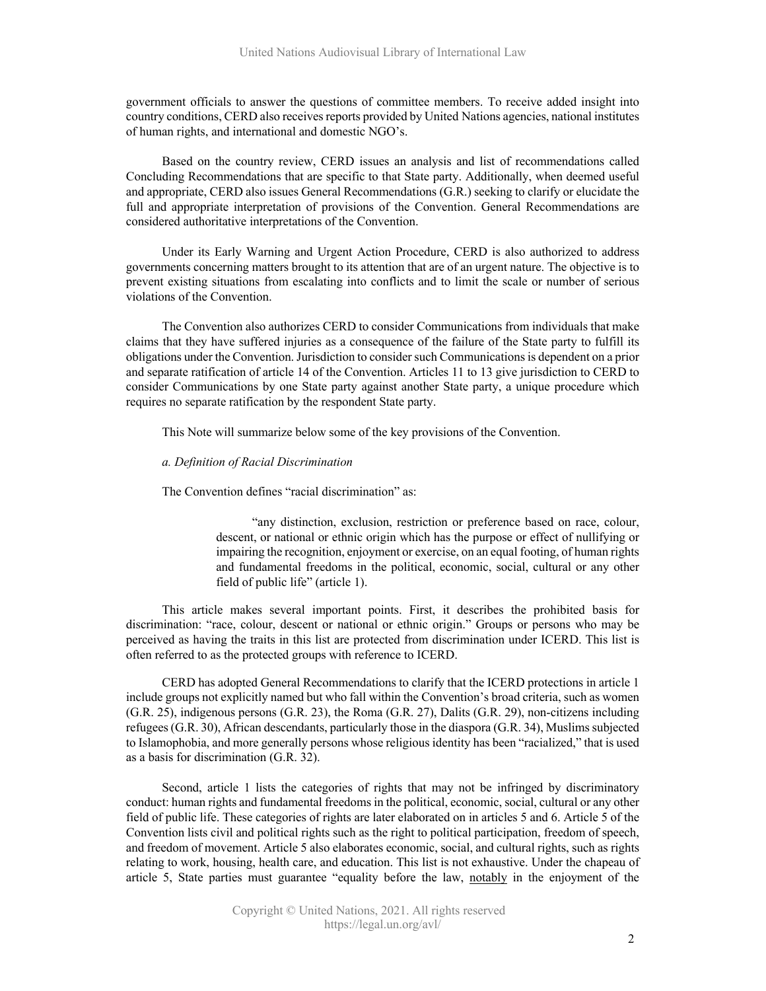government officials to answer the questions of committee members. To receive added insight into country conditions, CERD also receives reports provided by United Nations agencies, national institutes of human rights, and international and domestic NGO's.

Based on the country review, CERD issues an analysis and list of recommendations called Concluding Recommendations that are specific to that State party. Additionally, when deemed useful and appropriate, CERD also issues General Recommendations (G.R.) seeking to clarify or elucidate the full and appropriate interpretation of provisions of the Convention. General Recommendations are considered authoritative interpretations of the Convention.

Under its Early Warning and Urgent Action Procedure, CERD is also authorized to address governments concerning matters brought to its attention that are of an urgent nature. The objective is to prevent existing situations from escalating into conflicts and to limit the scale or number of serious violations of the Convention.

The Convention also authorizes CERD to consider Communications from individuals that make claims that they have suffered injuries as a consequence of the failure of the State party to fulfill its obligations under the Convention. Jurisdiction to considersuch Communications is dependent on a prior and separate ratification of article 14 of the Convention. Articles 11 to 13 give jurisdiction to CERD to consider Communications by one State party against another State party, a unique procedure which requires no separate ratification by the respondent State party.

This Note will summarize below some of the key provisions of the Convention.

## *a. Definition of Racial Discrimination*

The Convention defines "racial discrimination" as:

"any distinction, exclusion, restriction or preference based on race, colour, descent, or national or ethnic origin which has the purpose or effect of nullifying or impairing the recognition, enjoyment or exercise, on an equal footing, of human rights and fundamental freedoms in the political, economic, social, cultural or any other field of public life" (article 1).

This article makes several important points. First, it describes the prohibited basis for discrimination: "race, colour, descent or national or ethnic origin." Groups or persons who may be perceived as having the traits in this list are protected from discrimination under ICERD. This list is often referred to as the protected groups with reference to ICERD.

CERD has adopted General Recommendations to clarify that the ICERD protections in article 1 include groups not explicitly named but who fall within the Convention's broad criteria, such as women (G.R. 25), indigenous persons (G.R. 23), the Roma (G.R. 27), Dalits (G.R. 29), non-citizens including refugees (G.R. 30), African descendants, particularly those in the diaspora (G.R. 34), Muslims subjected to Islamophobia, and more generally persons whose religious identity has been "racialized," that is used as a basis for discrimination (G.R. 32).

Second, article 1 lists the categories of rights that may not be infringed by discriminatory conduct: human rights and fundamental freedoms in the political, economic, social, cultural or any other field of public life. These categories of rights are later elaborated on in articles 5 and 6. Article 5 of the Convention lists civil and political rights such as the right to political participation, freedom of speech, and freedom of movement. Article 5 also elaborates economic, social, and cultural rights, such as rights relating to work, housing, health care, and education. This list is not exhaustive. Under the chapeau of article 5, State parties must guarantee "equality before the law, notably in the enjoyment of the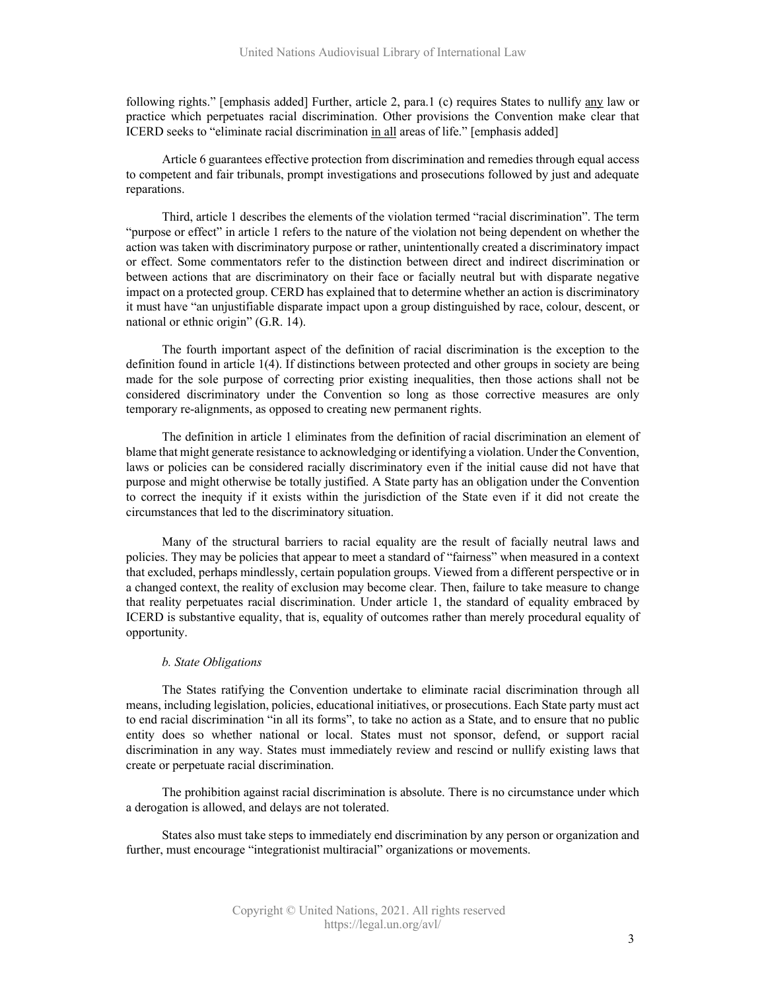following rights." [emphasis added] Further, article 2, para.1 (c) requires States to nullify any law or practice which perpetuates racial discrimination. Other provisions the Convention make clear that ICERD seeks to "eliminate racial discrimination in all areas of life." [emphasis added]

Article 6 guarantees effective protection from discrimination and remedies through equal access to competent and fair tribunals, prompt investigations and prosecutions followed by just and adequate reparations.

Third, article 1 describes the elements of the violation termed "racial discrimination". The term "purpose or effect" in article 1 refers to the nature of the violation not being dependent on whether the action was taken with discriminatory purpose or rather, unintentionally created a discriminatory impact or effect. Some commentators refer to the distinction between direct and indirect discrimination or between actions that are discriminatory on their face or facially neutral but with disparate negative impact on a protected group. CERD has explained that to determine whether an action is discriminatory it must have "an unjustifiable disparate impact upon a group distinguished by race, colour, descent, or national or ethnic origin" (G.R. 14).

The fourth important aspect of the definition of racial discrimination is the exception to the definition found in article 1(4). If distinctions between protected and other groups in society are being made for the sole purpose of correcting prior existing inequalities, then those actions shall not be considered discriminatory under the Convention so long as those corrective measures are only temporary re-alignments, as opposed to creating new permanent rights.

The definition in article 1 eliminates from the definition of racial discrimination an element of blame that might generate resistance to acknowledging or identifying a violation. Under the Convention, laws or policies can be considered racially discriminatory even if the initial cause did not have that purpose and might otherwise be totally justified. A State party has an obligation under the Convention to correct the inequity if it exists within the jurisdiction of the State even if it did not create the circumstances that led to the discriminatory situation.

Many of the structural barriers to racial equality are the result of facially neutral laws and policies. They may be policies that appear to meet a standard of "fairness" when measured in a context that excluded, perhaps mindlessly, certain population groups. Viewed from a different perspective or in a changed context, the reality of exclusion may become clear. Then, failure to take measure to change that reality perpetuates racial discrimination. Under article 1, the standard of equality embraced by ICERD is substantive equality, that is, equality of outcomes rather than merely procedural equality of opportunity.

## *b. State Obligations*

The States ratifying the Convention undertake to eliminate racial discrimination through all means, including legislation, policies, educational initiatives, or prosecutions. Each State party must act to end racial discrimination "in all its forms", to take no action as a State, and to ensure that no public entity does so whether national or local. States must not sponsor, defend, or support racial discrimination in any way. States must immediately review and rescind or nullify existing laws that create or perpetuate racial discrimination.

The prohibition against racial discrimination is absolute. There is no circumstance under which a derogation is allowed, and delays are not tolerated.

States also must take steps to immediately end discrimination by any person or organization and further, must encourage "integrationist multiracial" organizations or movements.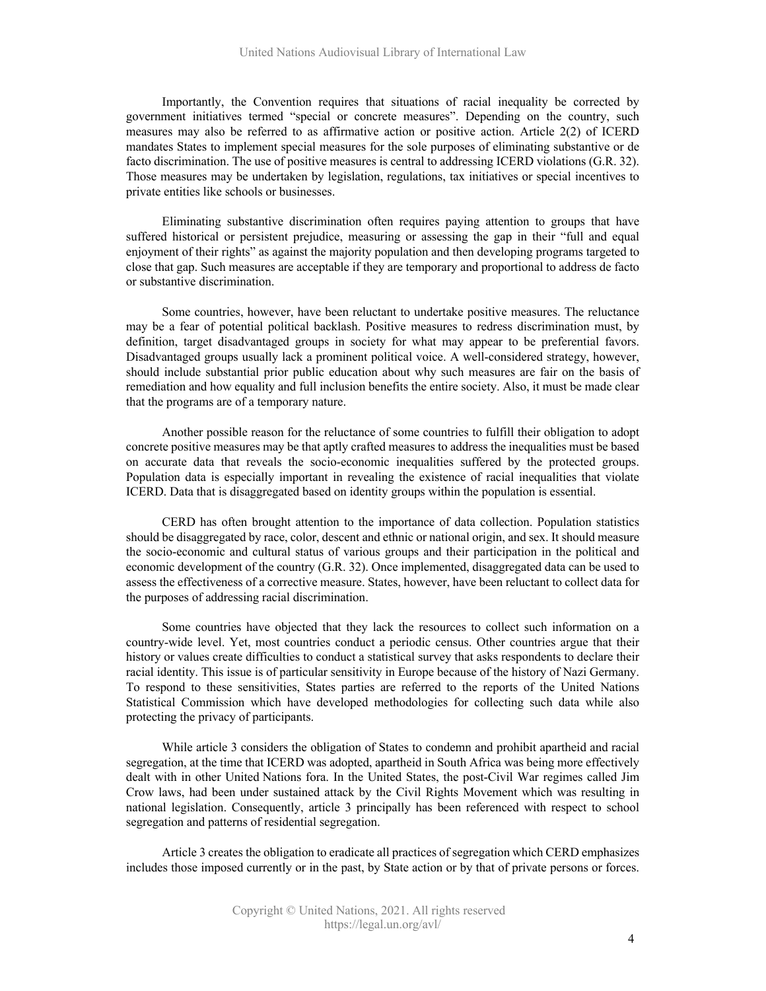Importantly, the Convention requires that situations of racial inequality be corrected by government initiatives termed "special or concrete measures". Depending on the country, such measures may also be referred to as affirmative action or positive action. Article 2(2) of ICERD mandates States to implement special measures for the sole purposes of eliminating substantive or de facto discrimination. The use of positive measures is central to addressing ICERD violations (G.R. 32). Those measures may be undertaken by legislation, regulations, tax initiatives or special incentives to private entities like schools or businesses.

Eliminating substantive discrimination often requires paying attention to groups that have suffered historical or persistent prejudice, measuring or assessing the gap in their "full and equal enjoyment of their rights" as against the majority population and then developing programs targeted to close that gap. Such measures are acceptable if they are temporary and proportional to address de facto or substantive discrimination.

Some countries, however, have been reluctant to undertake positive measures. The reluctance may be a fear of potential political backlash. Positive measures to redress discrimination must, by definition, target disadvantaged groups in society for what may appear to be preferential favors. Disadvantaged groups usually lack a prominent political voice. A well-considered strategy, however, should include substantial prior public education about why such measures are fair on the basis of remediation and how equality and full inclusion benefits the entire society. Also, it must be made clear that the programs are of a temporary nature.

Another possible reason for the reluctance of some countries to fulfill their obligation to adopt concrete positive measures may be that aptly crafted measures to address the inequalities must be based on accurate data that reveals the socio-economic inequalities suffered by the protected groups. Population data is especially important in revealing the existence of racial inequalities that violate ICERD. Data that is disaggregated based on identity groups within the population is essential.

CERD has often brought attention to the importance of data collection. Population statistics should be disaggregated by race, color, descent and ethnic or national origin, and sex. It should measure the socio-economic and cultural status of various groups and their participation in the political and economic development of the country (G.R. 32). Once implemented, disaggregated data can be used to assess the effectiveness of a corrective measure. States, however, have been reluctant to collect data for the purposes of addressing racial discrimination.

Some countries have objected that they lack the resources to collect such information on a country-wide level. Yet, most countries conduct a periodic census. Other countries argue that their history or values create difficulties to conduct a statistical survey that asks respondents to declare their racial identity. This issue is of particular sensitivity in Europe because of the history of Nazi Germany. To respond to these sensitivities, States parties are referred to the reports of the United Nations Statistical Commission which have developed methodologies for collecting such data while also protecting the privacy of participants.

While article 3 considers the obligation of States to condemn and prohibit apartheid and racial segregation, at the time that ICERD was adopted, apartheid in South Africa was being more effectively dealt with in other United Nations fora. In the United States, the post-Civil War regimes called Jim Crow laws, had been under sustained attack by the Civil Rights Movement which was resulting in national legislation. Consequently, article 3 principally has been referenced with respect to school segregation and patterns of residential segregation.

Article 3 creates the obligation to eradicate all practices of segregation which CERD emphasizes includes those imposed currently or in the past, by State action or by that of private persons or forces.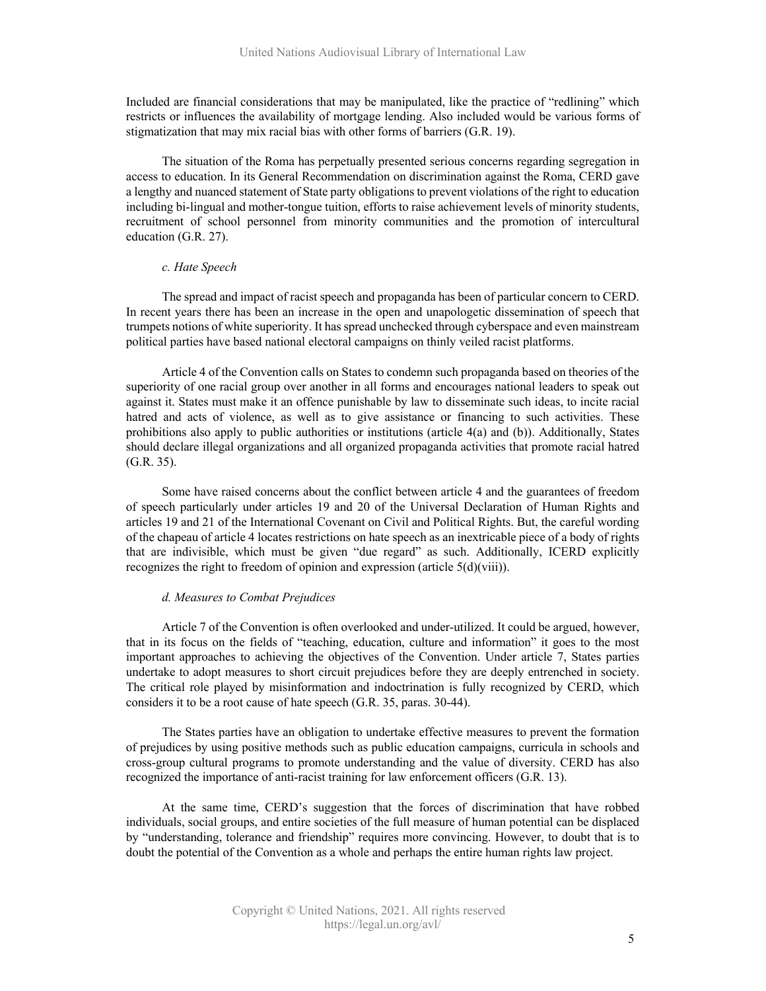Included are financial considerations that may be manipulated, like the practice of "redlining" which restricts or influences the availability of mortgage lending. Also included would be various forms of stigmatization that may mix racial bias with other forms of barriers (G.R. 19).

The situation of the Roma has perpetually presented serious concerns regarding segregation in access to education. In its General Recommendation on discrimination against the Roma, CERD gave a lengthy and nuanced statement of State party obligations to prevent violations of the right to education including bi-lingual and mother-tongue tuition, efforts to raise achievement levels of minority students, recruitment of school personnel from minority communities and the promotion of intercultural education (G.R. 27).

## *c. Hate Speech*

The spread and impact of racist speech and propaganda has been of particular concern to CERD. In recent years there has been an increase in the open and unapologetic dissemination of speech that trumpets notions of white superiority. It has spread unchecked through cyberspace and even mainstream political parties have based national electoral campaigns on thinly veiled racist platforms.

Article 4 of the Convention calls on States to condemn such propaganda based on theories of the superiority of one racial group over another in all forms and encourages national leaders to speak out against it. States must make it an offence punishable by law to disseminate such ideas, to incite racial hatred and acts of violence, as well as to give assistance or financing to such activities. These prohibitions also apply to public authorities or institutions (article 4(a) and (b)). Additionally, States should declare illegal organizations and all organized propaganda activities that promote racial hatred (G.R. 35).

Some have raised concerns about the conflict between article 4 and the guarantees of freedom of speech particularly under articles 19 and 20 of the Universal Declaration of Human Rights and articles 19 and 21 of the International Covenant on Civil and Political Rights. But, the careful wording of the chapeau of article 4 locates restrictions on hate speech as an inextricable piece of a body of rights that are indivisible, which must be given "due regard" as such. Additionally, ICERD explicitly recognizes the right to freedom of opinion and expression (article 5(d)(viii)).

#### *d. Measures to Combat Prejudices*

Article 7 of the Convention is often overlooked and under-utilized. It could be argued, however, that in its focus on the fields of "teaching, education, culture and information" it goes to the most important approaches to achieving the objectives of the Convention. Under article 7, States parties undertake to adopt measures to short circuit prejudices before they are deeply entrenched in society. The critical role played by misinformation and indoctrination is fully recognized by CERD, which considers it to be a root cause of hate speech (G.R. 35, paras. 30-44).

The States parties have an obligation to undertake effective measures to prevent the formation of prejudices by using positive methods such as public education campaigns, curricula in schools and cross-group cultural programs to promote understanding and the value of diversity. CERD has also recognized the importance of anti-racist training for law enforcement officers (G.R. 13).

At the same time, CERD's suggestion that the forces of discrimination that have robbed individuals, social groups, and entire societies of the full measure of human potential can be displaced by "understanding, tolerance and friendship" requires more convincing. However, to doubt that is to doubt the potential of the Convention as a whole and perhaps the entire human rights law project.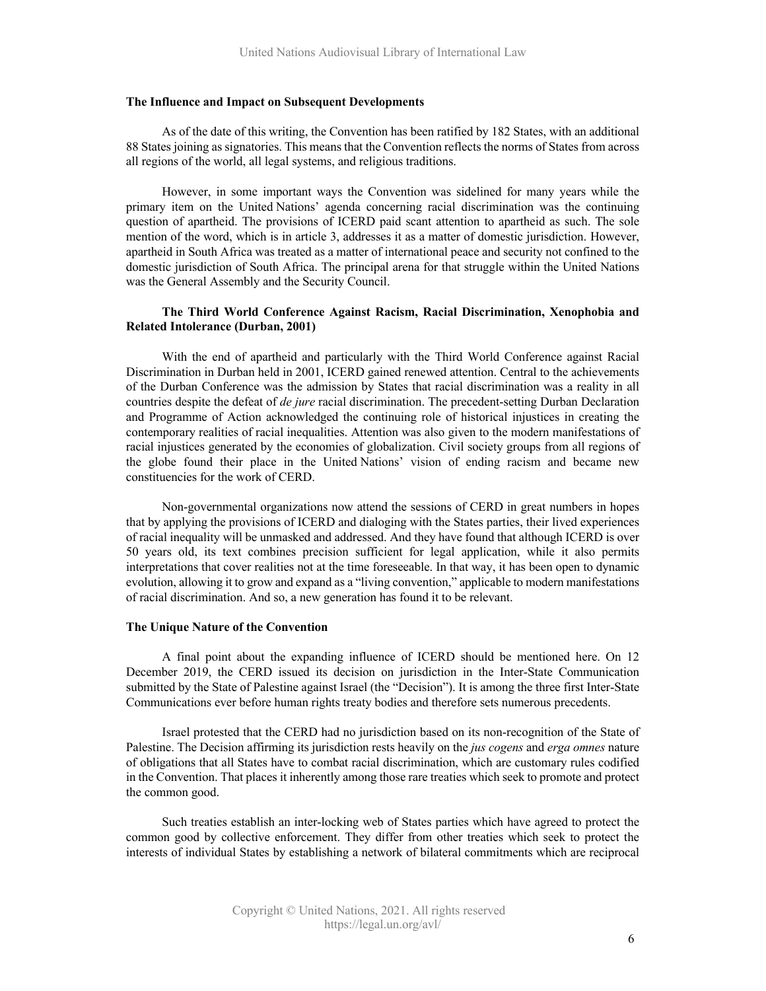#### **The Influence and Impact on Subsequent Developments**

As of the date of this writing, the Convention has been ratified by 182 States, with an additional 88 States joining as signatories. This means that the Convention reflects the norms of States from across all regions of the world, all legal systems, and religious traditions.

However, in some important ways the Convention was sidelined for many years while the primary item on the United Nations' agenda concerning racial discrimination was the continuing question of apartheid. The provisions of ICERD paid scant attention to apartheid as such. The sole mention of the word, which is in article 3, addresses it as a matter of domestic jurisdiction. However, apartheid in South Africa was treated as a matter of international peace and security not confined to the domestic jurisdiction of South Africa. The principal arena for that struggle within the United Nations was the General Assembly and the Security Council.

# **The Third World Conference Against Racism, Racial Discrimination, Xenophobia and Related Intolerance (Durban, 2001)**

With the end of apartheid and particularly with the Third World Conference against Racial Discrimination in Durban held in 2001, ICERD gained renewed attention. Central to the achievements of the Durban Conference was the admission by States that racial discrimination was a reality in all countries despite the defeat of *de jure* racial discrimination. The precedent-setting Durban Declaration and Programme of Action acknowledged the continuing role of historical injustices in creating the contemporary realities of racial inequalities. Attention was also given to the modern manifestations of racial injustices generated by the economies of globalization. Civil society groups from all regions of the globe found their place in the United Nations' vision of ending racism and became new constituencies for the work of CERD.

Non-governmental organizations now attend the sessions of CERD in great numbers in hopes that by applying the provisions of ICERD and dialoging with the States parties, their lived experiences of racial inequality will be unmasked and addressed. And they have found that although ICERD is over 50 years old, its text combines precision sufficient for legal application, while it also permits interpretations that cover realities not at the time foreseeable. In that way, it has been open to dynamic evolution, allowing it to grow and expand as a "living convention," applicable to modern manifestations of racial discrimination. And so, a new generation has found it to be relevant.

#### **The Unique Nature of the Convention**

A final point about the expanding influence of ICERD should be mentioned here. On 12 December 2019, the CERD issued its decision on jurisdiction in the Inter-State Communication submitted by the State of Palestine against Israel (the "Decision"). It is among the three first Inter-State Communications ever before human rights treaty bodies and therefore sets numerous precedents.

Israel protested that the CERD had no jurisdiction based on its non-recognition of the State of Palestine. The Decision affirming its jurisdiction rests heavily on the *jus cogens* and *erga omnes* nature of obligations that all States have to combat racial discrimination, which are customary rules codified in the Convention. That places it inherently among those rare treaties which seek to promote and protect the common good.

Such treaties establish an inter-locking web of States parties which have agreed to protect the common good by collective enforcement. They differ from other treaties which seek to protect the interests of individual States by establishing a network of bilateral commitments which are reciprocal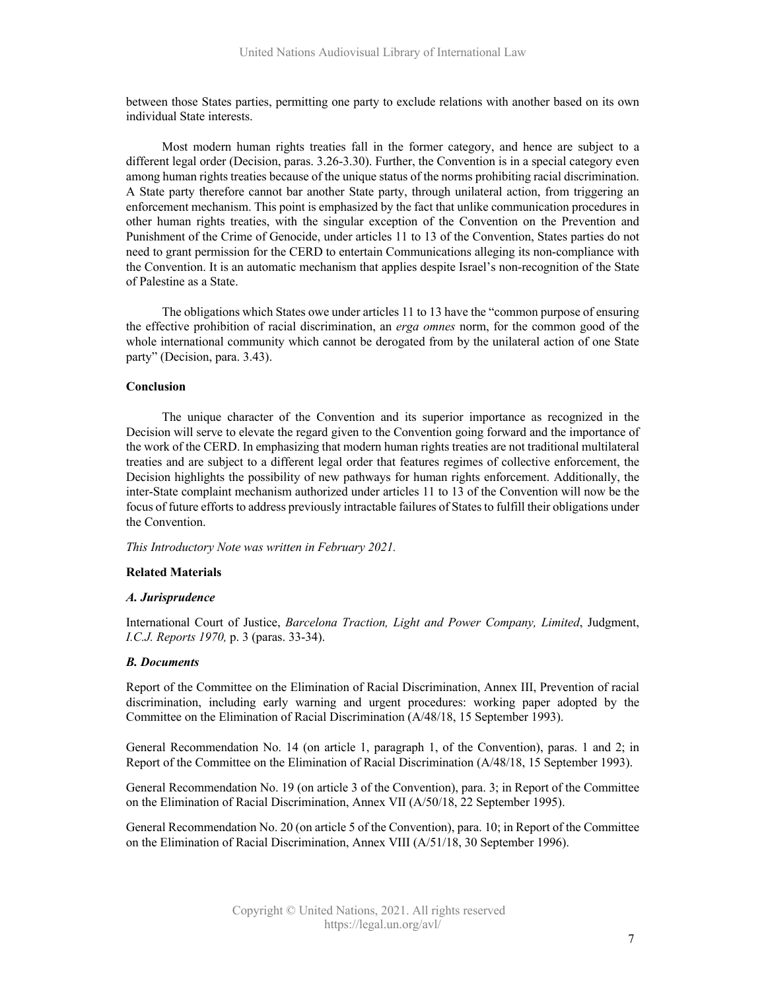between those States parties, permitting one party to exclude relations with another based on its own individual State interests.

Most modern human rights treaties fall in the former category, and hence are subject to a different legal order (Decision, paras. 3.26-3.30). Further, the Convention is in a special category even among human rights treaties because of the unique status of the norms prohibiting racial discrimination. A State party therefore cannot bar another State party, through unilateral action, from triggering an enforcement mechanism. This point is emphasized by the fact that unlike communication procedures in other human rights treaties, with the singular exception of the Convention on the Prevention and Punishment of the Crime of Genocide, under articles 11 to 13 of the Convention, States parties do not need to grant permission for the CERD to entertain Communications alleging its non-compliance with the Convention. It is an automatic mechanism that applies despite Israel's non-recognition of the State of Palestine as a State.

The obligations which States owe under articles 11 to 13 have the "common purpose of ensuring the effective prohibition of racial discrimination, an *erga omnes* norm, for the common good of the whole international community which cannot be derogated from by the unilateral action of one State party" (Decision, para. 3.43).

## **Conclusion**

The unique character of the Convention and its superior importance as recognized in the Decision will serve to elevate the regard given to the Convention going forward and the importance of the work of the CERD. In emphasizing that modern human rights treaties are not traditional multilateral treaties and are subject to a different legal order that features regimes of collective enforcement, the Decision highlights the possibility of new pathways for human rights enforcement. Additionally, the inter-State complaint mechanism authorized under articles 11 to 13 of the Convention will now be the focus of future efforts to address previously intractable failures of States to fulfill their obligations under the Convention.

*This Introductory Note was written in February 2021.*

#### **Related Materials**

## *A. Jurisprudence*

International Court of Justice, *Barcelona Traction, Light and Power Company, Limited*, Judgment, *I.C.J. Reports 1970,* p. 3 (paras. 33-34).

## *B. Documents*

Report of the Committee on the Elimination of Racial Discrimination, Annex III, Prevention of racial discrimination, including early warning and urgent procedures: working paper adopted by the Committee on the Elimination of Racial Discrimination (A/48/18, 15 September 1993).

General Recommendation No. 14 (on article 1, paragraph 1, of the Convention), paras. 1 and 2; in Report of the Committee on the Elimination of Racial Discrimination (A/48/18, 15 September 1993).

General Recommendation No. 19 (on article 3 of the Convention), para. 3; in Report of the Committee on the Elimination of Racial Discrimination, Annex VII (A/50/18, 22 September 1995).

General Recommendation No. 20 (on article 5 of the Convention), para. 10; in Report of the Committee on the Elimination of Racial Discrimination, Annex VIII (A/51/18, 30 September 1996).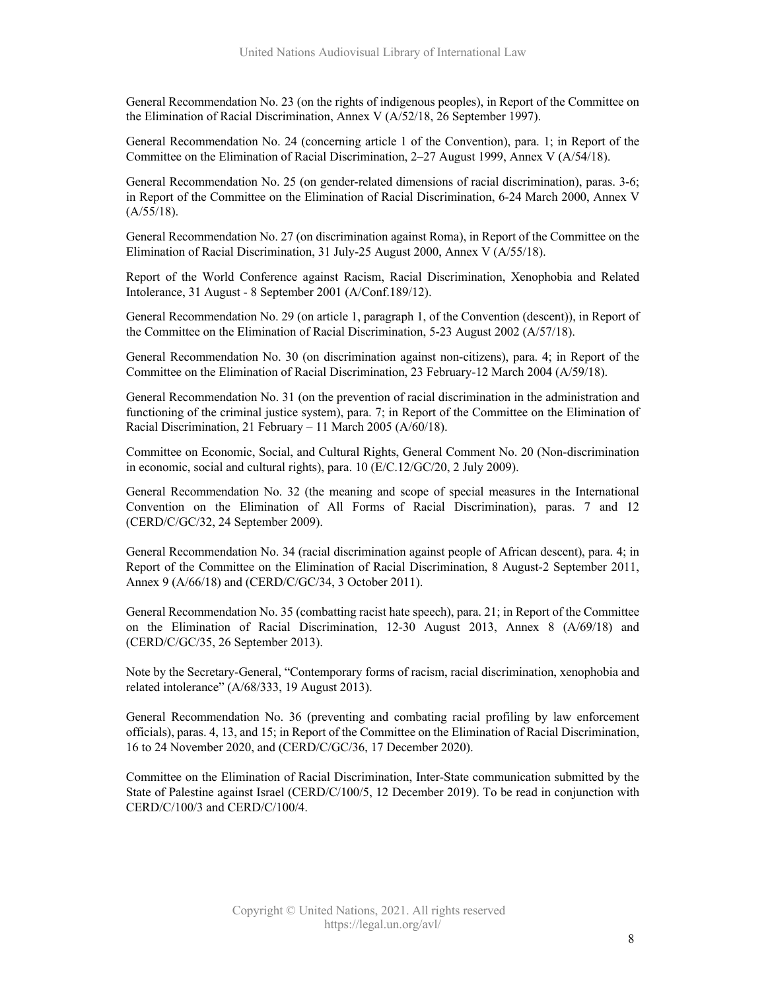General Recommendation No. 23 (on the rights of indigenous peoples), in Report of the Committee on the Elimination of Racial Discrimination, Annex V (A/52/18, 26 September 1997).

General Recommendation No. 24 (concerning article 1 of the Convention), para. 1; in Report of the Committee on the Elimination of Racial Discrimination, 2–27 August 1999, Annex V (A/54/18).

General Recommendation No. 25 (on gender-related dimensions of racial discrimination), paras. 3-6; in Report of the Committee on the Elimination of Racial Discrimination, 6-24 March 2000, Annex V  $(A/55/18).$ 

General Recommendation No. 27 (on discrimination against Roma), in Report of the Committee on the Elimination of Racial Discrimination, 31 July-25 August 2000, Annex V (A/55/18).

Report of the World Conference against Racism, Racial Discrimination, Xenophobia and Related Intolerance, 31 August - 8 September 2001 (A/Conf.189/12).

General Recommendation No. 29 (on article 1, paragraph 1, of the Convention (descent)), in Report of the Committee on the Elimination of Racial Discrimination, 5-23 August 2002 (A/57/18).

General Recommendation No. 30 (on discrimination against non-citizens), para. 4; in Report of the Committee on the Elimination of Racial Discrimination, 23 February-12 March 2004 (A/59/18).

General Recommendation No. 31 (on the prevention of racial discrimination in the administration and functioning of the criminal justice system), para. 7; in Report of the Committee on the Elimination of Racial Discrimination, 21 February – 11 March 2005 (A/60/18).

Committee on Economic, Social, and Cultural Rights, General Comment No. 20 (Non-discrimination in economic, social and cultural rights), para. 10 (E/C.12/GC/20, 2 July 2009).

General Recommendation No. 32 (the meaning and scope of special measures in the International Convention on the Elimination of All Forms of Racial Discrimination), paras. 7 and 12 (CERD/C/GC/32, 24 September 2009).

General Recommendation No. 34 (racial discrimination against people of African descent), para. 4; in Report of the Committee on the Elimination of Racial Discrimination, 8 August-2 September 2011, Annex 9 (A/66/18) and (CERD/C/GC/34, 3 October 2011).

General Recommendation No. 35 (combatting racist hate speech), para. 21; in Report of the Committee on the Elimination of Racial Discrimination, 12-30 August 2013, Annex 8 (A/69/18) and (CERD/C/GC/35, 26 September 2013).

Note by the Secretary-General, "Contemporary forms of racism, racial discrimination, xenophobia and related intolerance" (A/68/333, 19 August 2013).

General Recommendation No. 36 (preventing and combating racial profiling by law enforcement officials), paras. 4, 13, and 15; in Report of the Committee on the Elimination of Racial Discrimination, 16 to 24 November 2020, and (CERD/C/GC/36, 17 December 2020).

Committee on the Elimination of Racial Discrimination, Inter-State communication submitted by the State of Palestine against Israel (CERD/C/100/5, 12 December 2019). To be read in conjunction with CERD/C/100/3 and CERD/C/100/4.